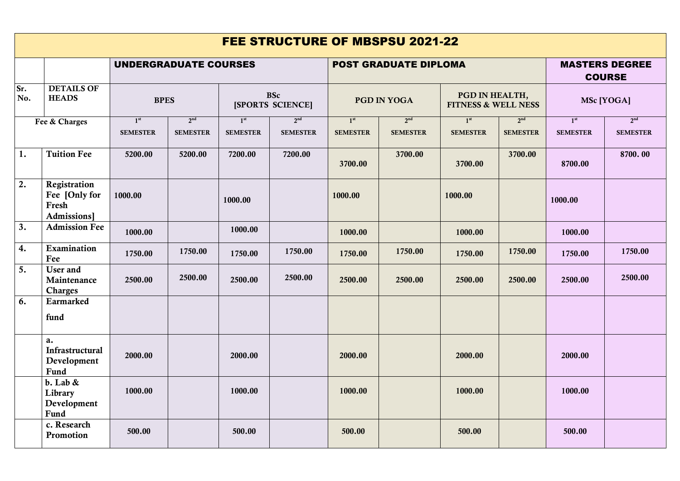| <b>FEE STRUCTURE OF MBSPSU 2021-22</b> |                                                       |                                    |                                    |                                    |                                    |                                    |                                    |                                                  |                                    |                                        |                                    |
|----------------------------------------|-------------------------------------------------------|------------------------------------|------------------------------------|------------------------------------|------------------------------------|------------------------------------|------------------------------------|--------------------------------------------------|------------------------------------|----------------------------------------|------------------------------------|
|                                        |                                                       | <b>UNDERGRADUATE COURSES</b>       |                                    |                                    |                                    | <b>POST GRADUATE DIPLOMA</b>       |                                    |                                                  |                                    | <b>MASTERS DEGREE</b><br><b>COURSE</b> |                                    |
| Sr.<br>No.                             | <b>DETAILS OF</b><br><b>HEADS</b>                     | <b>BPES</b>                        |                                    | <b>BSc</b><br>[SPORTS SCIENCE]     |                                    | <b>PGD IN YOGA</b>                 |                                    | PGD IN HEALTH,<br><b>FITNESS &amp; WELL NESS</b> |                                    | MSc [YOGA]                             |                                    |
| Fee & Charges                          |                                                       | 1 <sup>st</sup><br><b>SEMESTER</b> | 2 <sup>nd</sup><br><b>SEMESTER</b> | 1 <sup>st</sup><br><b>SEMESTER</b> | 2 <sup>nd</sup><br><b>SEMESTER</b> | 1 <sup>st</sup><br><b>SEMESTER</b> | 2 <sup>nd</sup><br><b>SEMESTER</b> | 1 <sup>st</sup><br><b>SEMESTER</b>               | 2 <sup>nd</sup><br><b>SEMESTER</b> | 1 <sup>st</sup><br><b>SEMESTER</b>     | 2 <sup>nd</sup><br><b>SEMESTER</b> |
| 1.                                     | <b>Tuition Fee</b>                                    | 5200.00                            | 5200.00                            | 7200.00                            | 7200.00                            | 3700.00                            | 3700.00                            | 3700.00                                          | 3700.00                            | 8700.00                                | 8700.00                            |
| 2.                                     | Registration<br>Fee [Only for<br>Fresh<br>Admissions] | 1000.00                            |                                    | 1000.00                            |                                    | 1000.00                            |                                    | 1000.00                                          |                                    | 1000.00                                |                                    |
| 3.                                     | <b>Admission Fee</b>                                  | 1000.00                            |                                    | 1000.00                            |                                    | 1000.00                            |                                    | 1000.00                                          |                                    | 1000.00                                |                                    |
| 4.                                     | Examination<br>Fee                                    | 1750.00                            | 1750.00                            | 1750.00                            | 1750.00                            | 1750.00                            | 1750.00                            | 1750.00                                          | 1750.00                            | 1750.00                                | 1750.00                            |
| 5.                                     | User and<br>Maintenance<br><b>Charges</b>             | 2500.00                            | 2500.00                            | 2500.00                            | 2500.00                            | 2500.00                            | 2500.00                            | 2500.00                                          | 2500.00                            | 2500.00                                | 2500.00                            |
| 6.                                     | Earmarked<br>fund                                     |                                    |                                    |                                    |                                    |                                    |                                    |                                                  |                                    |                                        |                                    |
|                                        | a.<br>Infrastructural<br>Development<br>Fund          | 2000.00                            |                                    | 2000.00                            |                                    | 2000.00                            |                                    | 2000.00                                          |                                    | 2000.00                                |                                    |
|                                        | $b.$ Lab $\&$<br>Library<br>Development<br>Fund       | 1000.00                            |                                    | 1000.00                            |                                    | 1000.00                            |                                    | 1000.00                                          |                                    | 1000.00                                |                                    |
|                                        | c. Research<br>Promotion                              | 500.00                             |                                    | 500.00                             |                                    | 500.00                             |                                    | 500.00                                           |                                    | 500.00                                 |                                    |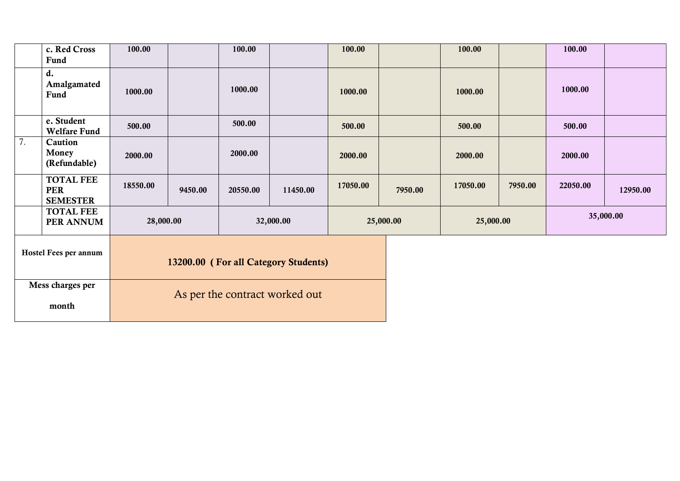|                       | c. Red Cross<br>Fund                              | 100.00                               |         | 100.00                         |          | 100.00    |         | 100.00    |         | 100.00   |          |
|-----------------------|---------------------------------------------------|--------------------------------------|---------|--------------------------------|----------|-----------|---------|-----------|---------|----------|----------|
|                       | d.<br>Amalgamated<br>Fund                         | 1000.00                              |         | 1000.00                        |          | 1000.00   |         | 1000.00   |         | 1000.00  |          |
|                       | e. Student<br><b>Welfare Fund</b>                 | 500.00                               |         | 500.00                         |          | 500.00    |         | 500.00    |         | 500.00   |          |
| 7.                    | Caution<br>Money<br>(Refundable)                  | 2000.00                              |         | 2000.00                        |          | 2000.00   |         | 2000.00   |         | 2000.00  |          |
|                       | <b>TOTAL FEE</b><br><b>PER</b><br><b>SEMESTER</b> | 18550.00                             | 9450.00 | 20550.00                       | 11450.00 | 17050.00  | 7950.00 | 17050.00  | 7950.00 | 22050.00 | 12950.00 |
|                       | <b>TOTAL FEE</b><br>PER ANNUM                     | 28,000.00                            |         | 32,000.00<br>25,000.00         |          | 25,000.00 |         | 35,000.00 |         |          |          |
| Hostel Fees per annum |                                                   | 13200.00 (For all Category Students) |         |                                |          |           |         |           |         |          |          |
| Mess charges per      |                                                   |                                      |         | As per the contract worked out |          |           |         |           |         |          |          |
| month                 |                                                   |                                      |         |                                |          |           |         |           |         |          |          |